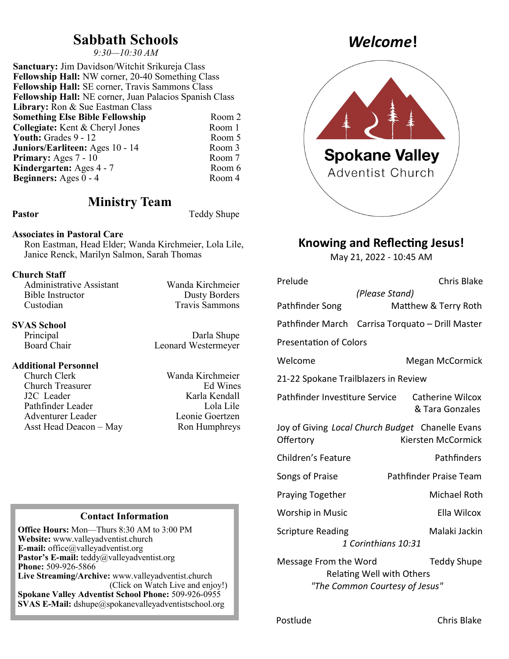## **Sabbath Schools**

*9:30—10:30 AM*

**Sanctuary:** Jim Davidson/Witchit Srikureja Class **Fellowship Hall:** NW corner, 20-40 Something Class **Fellowship Hall:** SE corner, Travis Sammons Class **Fellowship Hall:** NE corner, Juan Palacios Spanish Class **Library:** Ron & Sue Eastman Class **Something Else Bible Fellowship Room 2 Collegiate:** Kent & Cheryl Jones Room 1<br> **Youth:** Grades 9 - 12 Room 5 **Youth:** Grades 9 - 12 **Juniors/Earliteen:** Ages 10 - 14 Room 3<br> **Primary:** Ages 7 - 10 Room 7 **Primary:** Ages 7 - 10 **Kindergarten:** Ages 4 - 7 Room 6<br> **Reginners:** Ages 0 - 4 Room 4 **Beginners:** Ages  $0 - 4$ 

### **Ministry Team**

Pastor Teddy Shupe

### **Associates in Pastoral Care**

Ron Eastman, Head Elder; Wanda Kirchmeier, Lola Lile, Janice Renck, Marilyn Salmon, Sarah Thomas

### **Church Staff**

| Wanda Kirchmeier      |
|-----------------------|
| <b>Dusty Borders</b>  |
| <b>Travis Sammons</b> |
|                       |

# **SVAS School**

### **Additional Personnel**

Church Clerk Wanda Kirchmeier<br>Church Treasurer Ed Wines Church Treasurer J2C Leader Karla Kendall Pathfinder Leader Lola Lile Adventurer Leader Leonie Goertzen Asst Head Deacon – May Ron Humphreys

Darla Shupe Board Chair Leonard Westermeyer

### **Contact Information**

**Office Hours:** Mon—Thurs 8:30 AM to 3:00 PM **Website:** www.valleyadventist.church **E-mail:** office@valleyadventist.org **Pastor's E-mail:** teddy@valleyadventist.org **Phone:** 509-926-5866 **Live Streaming/Archive:** www.valleyadventist.church (Click on Watch Live and enjoy!) **Spokane Valley Adventist School Phone:** 509-926-0955 **SVAS E-Mail:** dshupe@spokanevalleyadventistschool.org

## *Welcome***!**



### **Knowing and Reflecting Jesus!**

May 21, 2022 - 10:45 AM

| Prelude                              | Chris Blake                                                                       |  |
|--------------------------------------|-----------------------------------------------------------------------------------|--|
|                                      | (Please Stand)                                                                    |  |
| Pathfinder Song                      | Matthew & Terry Roth                                                              |  |
|                                      | Pathfinder March Carrisa Torquato - Drill Master                                  |  |
| <b>Presentation of Colors</b>        |                                                                                   |  |
| Welcome                              | Megan McCormick                                                                   |  |
| 21-22 Spokane Trailblazers in Review |                                                                                   |  |
| Pathfinder Investiture Service       | <b>Catherine Wilcox</b><br>& Tara Gonzales                                        |  |
| Offertory                            | Joy of Giving Local Church Budget Chanelle Evans<br>Kiersten McCormick            |  |
| Children's Feature                   | Pathfinders                                                                       |  |
| Songs of Praise                      | Pathfinder Praise Team                                                            |  |
| <b>Praying Together</b>              | <b>Michael Roth</b>                                                               |  |
| Worship in Music                     | Ella Wilcox                                                                       |  |
| <b>Scripture Reading</b>             | Malaki Jackin                                                                     |  |
| 1 Corinthians 10:31                  |                                                                                   |  |
| Message From the Word                | <b>Teddy Shupe</b><br>Relating Well with Others<br>"The Common Courtesy of Jesus" |  |